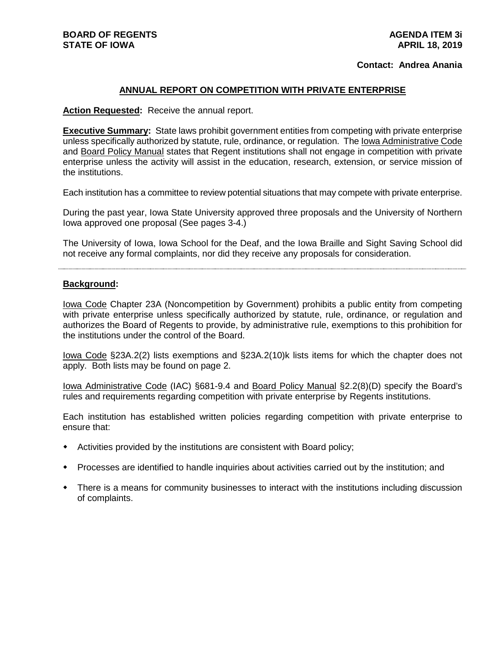# **Contact: Andrea Anania**

#### **ANNUAL REPORT ON COMPETITION WITH PRIVATE ENTERPRISE**

**Action Requested:** Receive the annual report.

**Executive Summary:** State laws prohibit government entities from competing with private enterprise unless specifically authorized by statute, rule, ordinance, or regulation. The Iowa Administrative Code and Board Policy Manual states that Regent institutions shall not engage in competition with private enterprise unless the activity will assist in the education, research, extension, or service mission of the institutions.

Each institution has a committee to review potential situations that may compete with private enterprise.

During the past year, Iowa State University approved three proposals and the University of Northern Iowa approved one proposal (See pages 3-4.)

The University of Iowa, Iowa School for the Deaf, and the Iowa Braille and Sight Saving School did not receive any formal complaints, nor did they receive any proposals for consideration.

#### **Background:**

Iowa Code Chapter 23A (Noncompetition by Government) prohibits a public entity from competing with private enterprise unless specifically authorized by statute, rule, ordinance, or regulation and authorizes the Board of Regents to provide, by administrative rule, exemptions to this prohibition for the institutions under the control of the Board.

Iowa Code §23A.2(2) lists exemptions and §23A.2(10)k lists items for which the chapter does not apply. Both lists may be found on page 2.

Iowa Administrative Code (IAC) §681-9.4 and Board Policy Manual §2.2(8)(D) specify the Board's rules and requirements regarding competition with private enterprise by Regents institutions.

Each institution has established written policies regarding competition with private enterprise to ensure that:

- Activities provided by the institutions are consistent with Board policy;
- Processes are identified to handle inquiries about activities carried out by the institution; and
- There is a means for community businesses to interact with the institutions including discussion of complaints.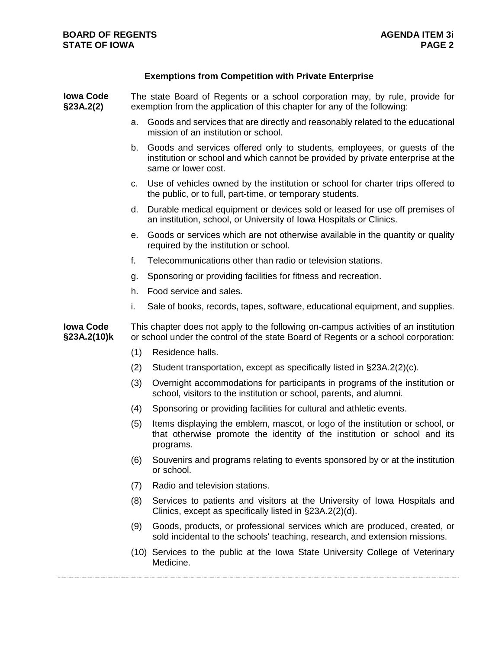# **Exemptions from Competition with Private Enterprise**

| <b>Iowa Code</b><br>§23A.2(2)   | The state Board of Regents or a school corporation may, by rule, provide for<br>exemption from the application of this chapter for any of the following:                  |                                                                                                                                                                                    |
|---------------------------------|---------------------------------------------------------------------------------------------------------------------------------------------------------------------------|------------------------------------------------------------------------------------------------------------------------------------------------------------------------------------|
|                                 | a.                                                                                                                                                                        | Goods and services that are directly and reasonably related to the educational<br>mission of an institution or school.                                                             |
|                                 | b.                                                                                                                                                                        | Goods and services offered only to students, employees, or guests of the<br>institution or school and which cannot be provided by private enterprise at the<br>same or lower cost. |
|                                 | C.                                                                                                                                                                        | Use of vehicles owned by the institution or school for charter trips offered to<br>the public, or to full, part-time, or temporary students.                                       |
|                                 | d.                                                                                                                                                                        | Durable medical equipment or devices sold or leased for use off premises of<br>an institution, school, or University of Iowa Hospitals or Clinics.                                 |
|                                 | е.                                                                                                                                                                        | Goods or services which are not otherwise available in the quantity or quality<br>required by the institution or school.                                                           |
|                                 | f.                                                                                                                                                                        | Telecommunications other than radio or television stations.                                                                                                                        |
|                                 | g.                                                                                                                                                                        | Sponsoring or providing facilities for fitness and recreation.                                                                                                                     |
|                                 | h.                                                                                                                                                                        | Food service and sales.                                                                                                                                                            |
|                                 | i.                                                                                                                                                                        | Sale of books, records, tapes, software, educational equipment, and supplies.                                                                                                      |
| <b>Iowa Code</b><br>§23A.2(10)k | This chapter does not apply to the following on-campus activities of an institution<br>or school under the control of the state Board of Regents or a school corporation: |                                                                                                                                                                                    |
|                                 | (1)                                                                                                                                                                       | Residence halls.                                                                                                                                                                   |
|                                 | (2)                                                                                                                                                                       | Student transportation, except as specifically listed in §23A.2(2)(c).                                                                                                             |
|                                 | (3)                                                                                                                                                                       | Overnight accommodations for participants in programs of the institution or<br>school, visitors to the institution or school, parents, and alumni.                                 |
|                                 | (4)                                                                                                                                                                       | Sponsoring or providing facilities for cultural and athletic events.                                                                                                               |
|                                 | (5)                                                                                                                                                                       | Items displaying the emblem, mascot, or logo of the institution or school, or<br>that otherwise promote the identity of the institution or school and its<br>programs.             |
|                                 |                                                                                                                                                                           | (6) Souvenirs and programs relating to events sponsored by or at the institution<br>or school.                                                                                     |
|                                 | (7)                                                                                                                                                                       | Radio and television stations.                                                                                                                                                     |
|                                 | (8)                                                                                                                                                                       | Services to patients and visitors at the University of Iowa Hospitals and<br>Clinics, except as specifically listed in §23A.2(2)(d).                                               |
|                                 | (9)                                                                                                                                                                       | Goods, products, or professional services which are produced, created, or<br>sold incidental to the schools' teaching, research, and extension missions.                           |
|                                 |                                                                                                                                                                           | (10) Services to the public at the Iowa State University College of Veterinary<br>Medicine.                                                                                        |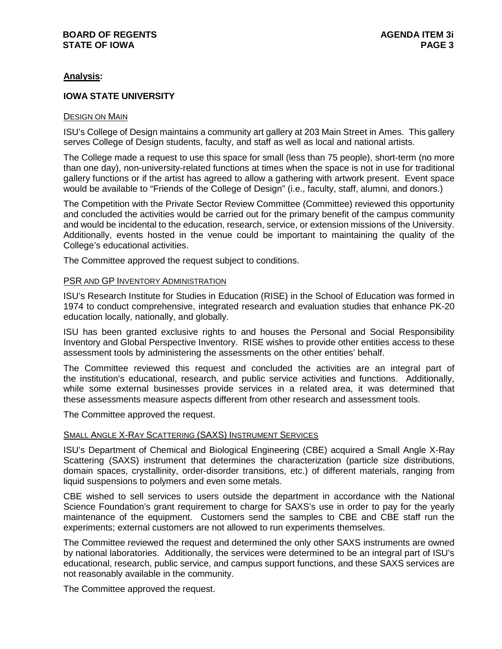# **BOARD OF REGENTS AGENDA ITEM 3i STATE OF IOWA**

# **Analysis:**

# **IOWA STATE UNIVERSITY**

## DESIGN ON MAIN

ISU's College of Design maintains a community art gallery at 203 Main Street in Ames. This gallery serves College of Design students, faculty, and staff as well as local and national artists.

The College made a request to use this space for small (less than 75 people), short-term (no more than one day), non-university-related functions at times when the space is not in use for traditional gallery functions or if the artist has agreed to allow a gathering with artwork present. Event space would be available to "Friends of the College of Design" (i.e., faculty, staff, alumni, and donors.)

The Competition with the Private Sector Review Committee (Committee) reviewed this opportunity and concluded the activities would be carried out for the primary benefit of the campus community and would be incidental to the education, research, service, or extension missions of the University. Additionally, events hosted in the venue could be important to maintaining the quality of the College's educational activities.

The Committee approved the request subject to conditions.

#### PSR AND GP INVENTORY ADMINISTRATION

ISU's Research Institute for Studies in Education (RISE) in the School of Education was formed in 1974 to conduct comprehensive, integrated research and evaluation studies that enhance PK-20 education locally, nationally, and globally.

ISU has been granted exclusive rights to and houses the Personal and Social Responsibility Inventory and Global Perspective Inventory. RISE wishes to provide other entities access to these assessment tools by administering the assessments on the other entities' behalf.

The Committee reviewed this request and concluded the activities are an integral part of the institution's educational, research, and public service activities and functions. Additionally, while some external businesses provide services in a related area, it was determined that these assessments measure aspects different from other research and assessment tools.

The Committee approved the request.

## SMALL ANGLE X-RAY SCATTERING (SAXS) INSTRUMENT SERVICES

ISU's Department of Chemical and Biological Engineering (CBE) acquired a Small Angle X-Ray Scattering (SAXS) instrument that determines the characterization (particle size distributions, domain spaces, crystallinity, order-disorder transitions, etc.) of different materials, ranging from liquid suspensions to polymers and even some metals.

CBE wished to sell services to users outside the department in accordance with the National Science Foundation's grant requirement to charge for SAXS's use in order to pay for the yearly maintenance of the equipment. Customers send the samples to CBE and CBE staff run the experiments; external customers are not allowed to run experiments themselves.

The Committee reviewed the request and determined the only other SAXS instruments are owned by national laboratories. Additionally, the services were determined to be an integral part of ISU's educational, research, public service, and campus support functions, and these SAXS services are not reasonably available in the community.

The Committee approved the request.